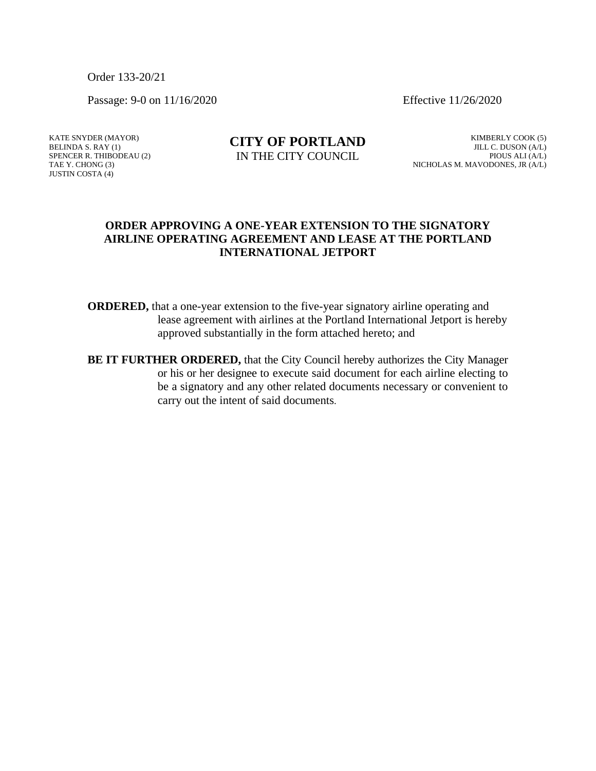Order 133-20/21

Passage: 9-0 on 11/16/2020 Effective 11/26/2020

KATE SNYDER (MAYOR) BELINDA S. RAY (1) SPENCER R. THIBODEAU (2) TAE Y. CHONG (3) JUSTIN COSTA (4)

## **CITY OF PORTLAND** IN THE CITY COUNCIL

KIMBERLY COOK (5) JILL C. DUSON (A/L) PIOUS ALI (A/L) NICHOLAS M. MAVODONES, JR (A/L)

## **ORDER APPROVING A ONE-YEAR EXTENSION TO THE SIGNATORY AIRLINE OPERATING AGREEMENT AND LEASE AT THE PORTLAND INTERNATIONAL JETPORT**

- **ORDERED,** that a one-year extension to the five-year signatory airline operating and lease agreement with airlines at the Portland International Jetport is hereby approved substantially in the form attached hereto; and
- **BE IT FURTHER ORDERED,** that the City Council hereby authorizes the City Manager or his or her designee to execute said document for each airline electing to be a signatory and any other related documents necessary or convenient to carry out the intent of said documents.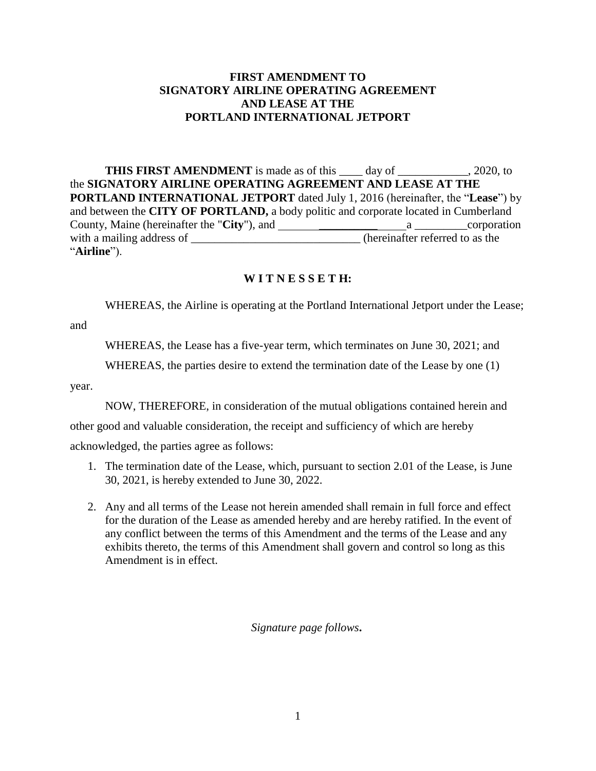## **FIRST AMENDMENT TO SIGNATORY AIRLINE OPERATING AGREEMENT AND LEASE AT THE PORTLAND INTERNATIONAL JETPORT**

**THIS FIRST AMENDMENT** is made as of this \_\_\_\_ day of \_\_\_\_\_\_\_\_\_\_, 2020, to the **SIGNATORY AIRLINE OPERATING AGREEMENT AND LEASE AT THE PORTLAND INTERNATIONAL JETPORT** dated July 1, 2016 (hereinafter, the "**Lease**") by and between the **CITY OF PORTLAND,** a body politic and corporate located in Cumberland County, Maine (hereinafter the "**City**"), and \_\_\_\_\_\_\_\_\_\_ a \_\_\_\_\_\_\_\_\_corporation with a mailing address of \_\_\_\_\_\_\_\_\_\_\_\_\_\_\_\_\_\_\_\_\_\_\_\_\_\_\_\_\_\_\_(hereinafter referred to as the "**Airline**").

## **W I T N E S S E T H:**

WHEREAS, the Airline is operating at the Portland International Jetport under the Lease;

and

WHEREAS, the Lease has a five-year term, which terminates on June 30, 2021; and

WHEREAS, the parties desire to extend the termination date of the Lease by one (1)

year.

NOW, THEREFORE, in consideration of the mutual obligations contained herein and

other good and valuable consideration, the receipt and sufficiency of which are hereby

acknowledged, the parties agree as follows:

- 1. The termination date of the Lease, which, pursuant to section 2.01 of the Lease, is June 30, 2021, is hereby extended to June 30, 2022.
- 2. Any and all terms of the Lease not herein amended shall remain in full force and effect for the duration of the Lease as amended hereby and are hereby ratified. In the event of any conflict between the terms of this Amendment and the terms of the Lease and any exhibits thereto, the terms of this Amendment shall govern and control so long as this Amendment is in effect.

*Signature page follows***.**